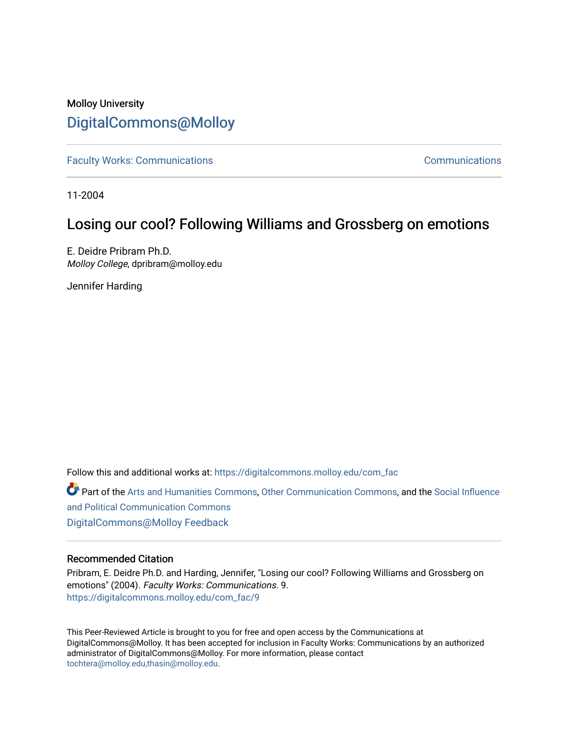# Molloy University [DigitalCommons@Molloy](https://digitalcommons.molloy.edu/)

[Faculty Works: Communications](https://digitalcommons.molloy.edu/com_fac) **Communications** [Communications](https://digitalcommons.molloy.edu/com) **Communications** 

11-2004

# Losing our cool? Following Williams and Grossberg on emotions

E. Deidre Pribram Ph.D. Molloy College, dpribram@molloy.edu

Jennifer Harding

Follow this and additional works at: [https://digitalcommons.molloy.edu/com\\_fac](https://digitalcommons.molloy.edu/com_fac?utm_source=digitalcommons.molloy.edu%2Fcom_fac%2F9&utm_medium=PDF&utm_campaign=PDFCoverPages) 

Part of the [Arts and Humanities Commons,](https://network.bepress.com/hgg/discipline/438?utm_source=digitalcommons.molloy.edu%2Fcom_fac%2F9&utm_medium=PDF&utm_campaign=PDFCoverPages) [Other Communication Commons,](https://network.bepress.com/hgg/discipline/339?utm_source=digitalcommons.molloy.edu%2Fcom_fac%2F9&utm_medium=PDF&utm_campaign=PDFCoverPages) and the [Social Influence](https://network.bepress.com/hgg/discipline/337?utm_source=digitalcommons.molloy.edu%2Fcom_fac%2F9&utm_medium=PDF&utm_campaign=PDFCoverPages)  [and Political Communication Commons](https://network.bepress.com/hgg/discipline/337?utm_source=digitalcommons.molloy.edu%2Fcom_fac%2F9&utm_medium=PDF&utm_campaign=PDFCoverPages)  [DigitalCommons@Molloy Feedback](https://molloy.libwizard.com/f/dcfeedback)

#### Recommended Citation

Pribram, E. Deidre Ph.D. and Harding, Jennifer, "Losing our cool? Following Williams and Grossberg on emotions" (2004). Faculty Works: Communications. 9. [https://digitalcommons.molloy.edu/com\\_fac/9](https://digitalcommons.molloy.edu/com_fac/9?utm_source=digitalcommons.molloy.edu%2Fcom_fac%2F9&utm_medium=PDF&utm_campaign=PDFCoverPages) 

This Peer-Reviewed Article is brought to you for free and open access by the Communications at DigitalCommons@Molloy. It has been accepted for inclusion in Faculty Works: Communications by an authorized administrator of DigitalCommons@Molloy. For more information, please contact [tochtera@molloy.edu,thasin@molloy.edu](mailto:tochtera@molloy.edu,thasin@molloy.edu).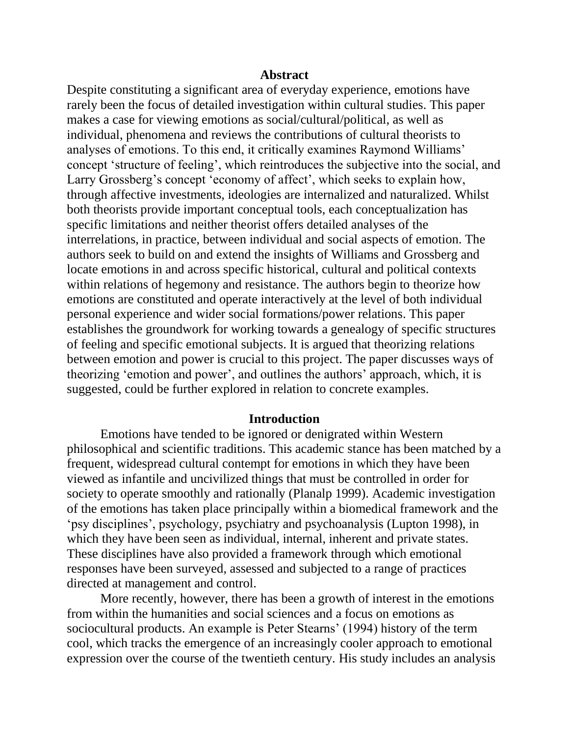#### **Abstract**

Despite constituting a significant area of everyday experience, emotions have rarely been the focus of detailed investigation within cultural studies. This paper makes a case for viewing emotions as social/cultural/political, as well as individual, phenomena and reviews the contributions of cultural theorists to analyses of emotions. To this end, it critically examines Raymond Williams' concept 'structure of feeling', which reintroduces the subjective into the social, and Larry Grossberg's concept 'economy of affect', which seeks to explain how, through affective investments, ideologies are internalized and naturalized. Whilst both theorists provide important conceptual tools, each conceptualization has specific limitations and neither theorist offers detailed analyses of the interrelations, in practice, between individual and social aspects of emotion. The authors seek to build on and extend the insights of Williams and Grossberg and locate emotions in and across specific historical, cultural and political contexts within relations of hegemony and resistance. The authors begin to theorize how emotions are constituted and operate interactively at the level of both individual personal experience and wider social formations/power relations. This paper establishes the groundwork for working towards a genealogy of specific structures of feeling and specific emotional subjects. It is argued that theorizing relations between emotion and power is crucial to this project. The paper discusses ways of theorizing 'emotion and power', and outlines the authors' approach, which, it is suggested, could be further explored in relation to concrete examples.

#### **Introduction**

Emotions have tended to be ignored or denigrated within Western philosophical and scientific traditions. This academic stance has been matched by a frequent, widespread cultural contempt for emotions in which they have been viewed as infantile and uncivilized things that must be controlled in order for society to operate smoothly and rationally (Planalp 1999). Academic investigation of the emotions has taken place principally within a biomedical framework and the 'psy disciplines', psychology, psychiatry and psychoanalysis (Lupton 1998), in which they have been seen as individual, internal, inherent and private states. These disciplines have also provided a framework through which emotional responses have been surveyed, assessed and subjected to a range of practices directed at management and control.

More recently, however, there has been a growth of interest in the emotions from within the humanities and social sciences and a focus on emotions as sociocultural products. An example is Peter Stearns' (1994) history of the term cool, which tracks the emergence of an increasingly cooler approach to emotional expression over the course of the twentieth century. His study includes an analysis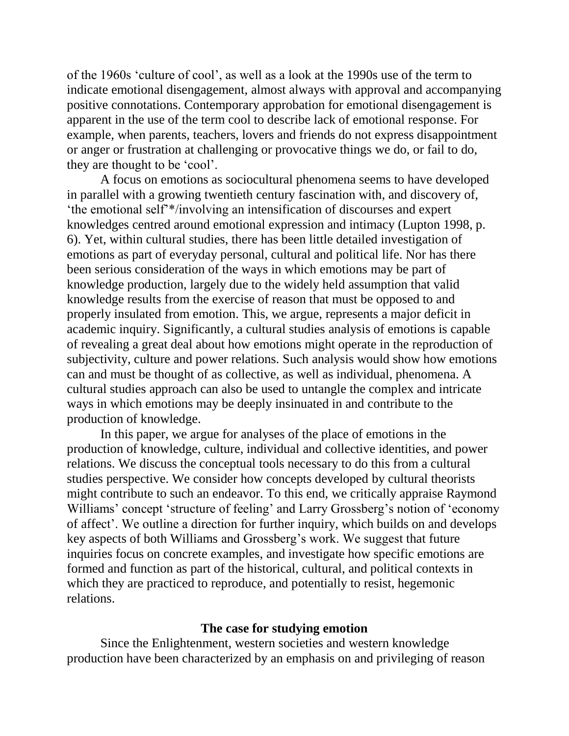of the 1960s 'culture of cool', as well as a look at the 1990s use of the term to indicate emotional disengagement, almost always with approval and accompanying positive connotations. Contemporary approbation for emotional disengagement is apparent in the use of the term cool to describe lack of emotional response. For example, when parents, teachers, lovers and friends do not express disappointment or anger or frustration at challenging or provocative things we do, or fail to do, they are thought to be 'cool'.

A focus on emotions as sociocultural phenomena seems to have developed in parallel with a growing twentieth century fascination with, and discovery of, 'the emotional self'\*/involving an intensification of discourses and expert knowledges centred around emotional expression and intimacy (Lupton 1998, p. 6). Yet, within cultural studies, there has been little detailed investigation of emotions as part of everyday personal, cultural and political life. Nor has there been serious consideration of the ways in which emotions may be part of knowledge production, largely due to the widely held assumption that valid knowledge results from the exercise of reason that must be opposed to and properly insulated from emotion. This, we argue, represents a major deficit in academic inquiry. Significantly, a cultural studies analysis of emotions is capable of revealing a great deal about how emotions might operate in the reproduction of subjectivity, culture and power relations. Such analysis would show how emotions can and must be thought of as collective, as well as individual, phenomena. A cultural studies approach can also be used to untangle the complex and intricate ways in which emotions may be deeply insinuated in and contribute to the production of knowledge.

In this paper, we argue for analyses of the place of emotions in the production of knowledge, culture, individual and collective identities, and power relations. We discuss the conceptual tools necessary to do this from a cultural studies perspective. We consider how concepts developed by cultural theorists might contribute to such an endeavor. To this end, we critically appraise Raymond Williams' concept 'structure of feeling' and Larry Grossberg's notion of 'economy of affect'. We outline a direction for further inquiry, which builds on and develops key aspects of both Williams and Grossberg's work. We suggest that future inquiries focus on concrete examples, and investigate how specific emotions are formed and function as part of the historical, cultural, and political contexts in which they are practiced to reproduce, and potentially to resist, hegemonic relations.

#### **The case for studying emotion**

Since the Enlightenment, western societies and western knowledge production have been characterized by an emphasis on and privileging of reason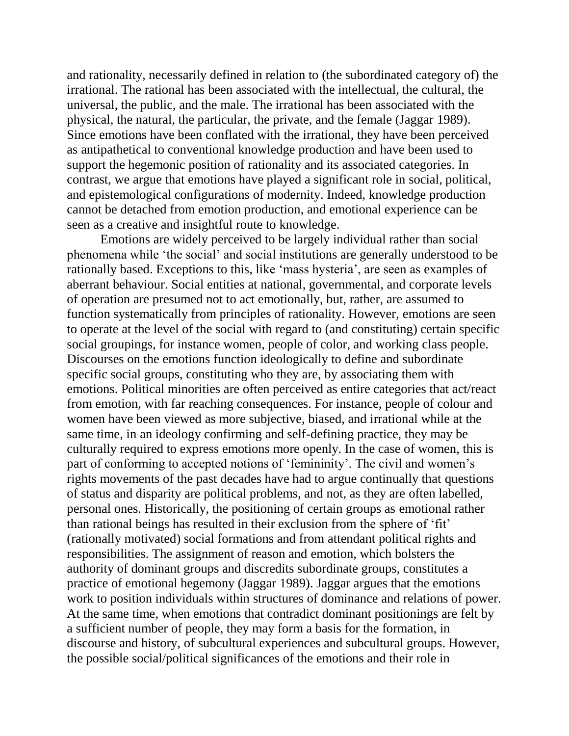and rationality, necessarily defined in relation to (the subordinated category of) the irrational. The rational has been associated with the intellectual, the cultural, the universal, the public, and the male. The irrational has been associated with the physical, the natural, the particular, the private, and the female (Jaggar 1989). Since emotions have been conflated with the irrational, they have been perceived as antipathetical to conventional knowledge production and have been used to support the hegemonic position of rationality and its associated categories. In contrast, we argue that emotions have played a significant role in social, political, and epistemological configurations of modernity. Indeed, knowledge production cannot be detached from emotion production, and emotional experience can be seen as a creative and insightful route to knowledge.

Emotions are widely perceived to be largely individual rather than social phenomena while 'the social' and social institutions are generally understood to be rationally based. Exceptions to this, like 'mass hysteria', are seen as examples of aberrant behaviour. Social entities at national, governmental, and corporate levels of operation are presumed not to act emotionally, but, rather, are assumed to function systematically from principles of rationality. However, emotions are seen to operate at the level of the social with regard to (and constituting) certain specific social groupings, for instance women, people of color, and working class people. Discourses on the emotions function ideologically to define and subordinate specific social groups, constituting who they are, by associating them with emotions. Political minorities are often perceived as entire categories that act/react from emotion, with far reaching consequences. For instance, people of colour and women have been viewed as more subjective, biased, and irrational while at the same time, in an ideology confirming and self-defining practice, they may be culturally required to express emotions more openly. In the case of women, this is part of conforming to accepted notions of 'femininity'. The civil and women's rights movements of the past decades have had to argue continually that questions of status and disparity are political problems, and not, as they are often labelled, personal ones. Historically, the positioning of certain groups as emotional rather than rational beings has resulted in their exclusion from the sphere of 'fit' (rationally motivated) social formations and from attendant political rights and responsibilities. The assignment of reason and emotion, which bolsters the authority of dominant groups and discredits subordinate groups, constitutes a practice of emotional hegemony (Jaggar 1989). Jaggar argues that the emotions work to position individuals within structures of dominance and relations of power. At the same time, when emotions that contradict dominant positionings are felt by a sufficient number of people, they may form a basis for the formation, in discourse and history, of subcultural experiences and subcultural groups. However, the possible social/political significances of the emotions and their role in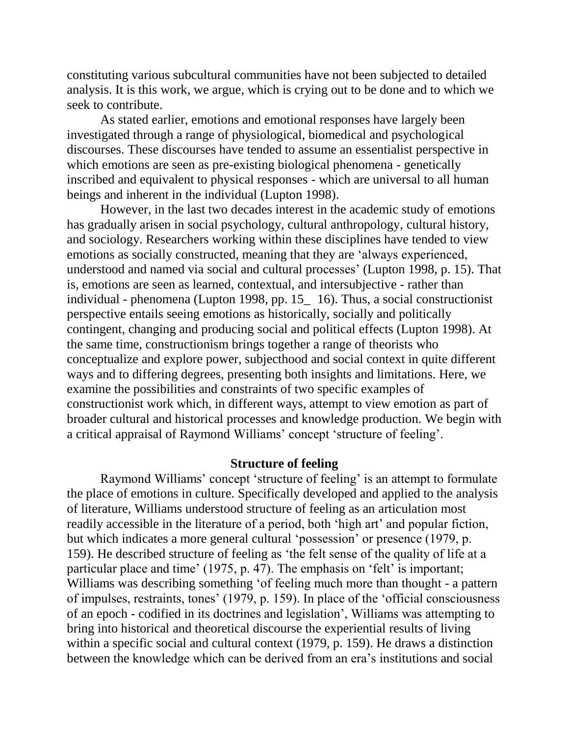constituting various subcultural communities have not been subjected to detailed analysis. It is this work, we argue, which is crying out to be done and to which we seek to contribute.

As stated earlier, emotions and emotional responses have largely been investigated through a range of physiological, biomedical and psychological discourses. These discourses have tended to assume an essentialist perspective in which emotions are seen as pre-existing biological phenomena - genetically inscribed and equivalent to physical responses - which are universal to all human beings and inherent in the individual (Lupton 1998).

However, in the last two decades interest in the academic study of emotions has gradually arisen in social psychology, cultural anthropology, cultural history, and sociology. Researchers working within these disciplines have tended to view emotions as socially constructed, meaning that they are 'always experienced, understood and named via social and cultural processes' (Lupton 1998, p. 15). That is, emotions are seen as learned, contextual, and intersubjective - rather than individual - phenomena (Lupton 1998, pp. 15\_/ 16). Thus, a social constructionist perspective entails seeing emotions as historically, socially and politically contingent, changing and producing social and political effects (Lupton 1998). At the same time, constructionism brings together a range of theorists who conceptualize and explore power, subjecthood and social context in quite different ways and to differing degrees, presenting both insights and limitations. Here, we examine the possibilities and constraints of two specific examples of constructionist work which, in different ways, attempt to view emotion as part of broader cultural and historical processes and knowledge production. We begin with a critical appraisal of Raymond Williams' concept 'structure of feeling'.

#### **Structure of feeling**

Raymond Williams' concept 'structure of feeling' is an attempt to formulate the place of emotions in culture. Specifically developed and applied to the analysis of literature, Williams understood structure of feeling as an articulation most readily accessible in the literature of a period, both 'high art' and popular fiction, but which indicates a more general cultural 'possession' or presence (1979, p. 159). He described structure of feeling as 'the felt sense of the quality of life at a particular place and time' (1975, p. 47). The emphasis on 'felt' is important; Williams was describing something 'of feeling much more than thought - a pattern of impulses, restraints, tones' (1979, p. 159). In place of the 'official consciousness of an epoch - codified in its doctrines and legislation', Williams was attempting to bring into historical and theoretical discourse the experiential results of living within a specific social and cultural context (1979, p. 159). He draws a distinction between the knowledge which can be derived from an era's institutions and social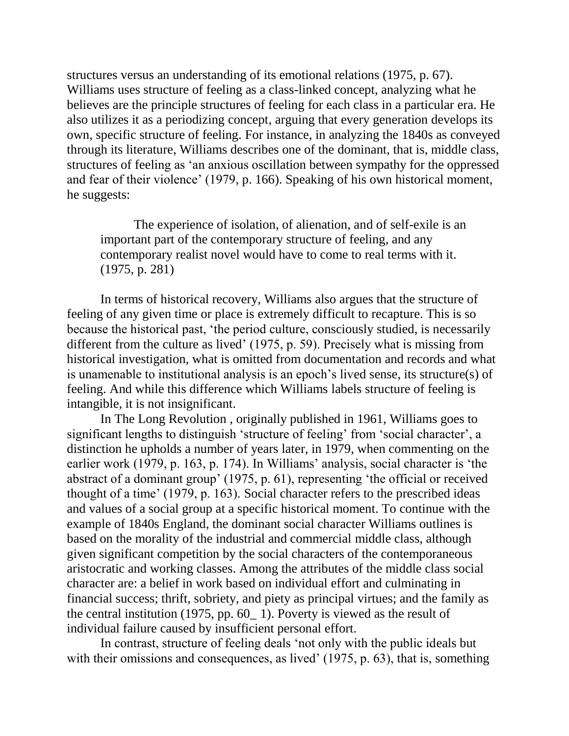structures versus an understanding of its emotional relations (1975, p. 67). Williams uses structure of feeling as a class-linked concept, analyzing what he believes are the principle structures of feeling for each class in a particular era. He also utilizes it as a periodizing concept, arguing that every generation develops its own, specific structure of feeling. For instance, in analyzing the 1840s as conveyed through its literature, Williams describes one of the dominant, that is, middle class, structures of feeling as 'an anxious oscillation between sympathy for the oppressed and fear of their violence' (1979, p. 166). Speaking of his own historical moment, he suggests:

The experience of isolation, of alienation, and of self-exile is an important part of the contemporary structure of feeling, and any contemporary realist novel would have to come to real terms with it. (1975, p. 281)

In terms of historical recovery, Williams also argues that the structure of feeling of any given time or place is extremely difficult to recapture. This is so because the historical past, 'the period culture, consciously studied, is necessarily different from the culture as lived' (1975, p. 59). Precisely what is missing from historical investigation, what is omitted from documentation and records and what is unamenable to institutional analysis is an epoch's lived sense, its structure(s) of feeling. And while this difference which Williams labels structure of feeling is intangible, it is not insignificant.

In The Long Revolution , originally published in 1961, Williams goes to significant lengths to distinguish 'structure of feeling' from 'social character', a distinction he upholds a number of years later, in 1979, when commenting on the earlier work (1979, p. 163, p. 174). In Williams' analysis, social character is 'the abstract of a dominant group' (1975, p. 61), representing 'the official or received thought of a time' (1979, p. 163). Social character refers to the prescribed ideas and values of a social group at a specific historical moment. To continue with the example of 1840s England, the dominant social character Williams outlines is based on the morality of the industrial and commercial middle class, although given significant competition by the social characters of the contemporaneous aristocratic and working classes. Among the attributes of the middle class social character are: a belief in work based on individual effort and culminating in financial success; thrift, sobriety, and piety as principal virtues; and the family as the central institution (1975, pp. 60 $\pm$ 1). Poverty is viewed as the result of individual failure caused by insufficient personal effort.

In contrast, structure of feeling deals 'not only with the public ideals but with their omissions and consequences, as lived' (1975, p. 63), that is, something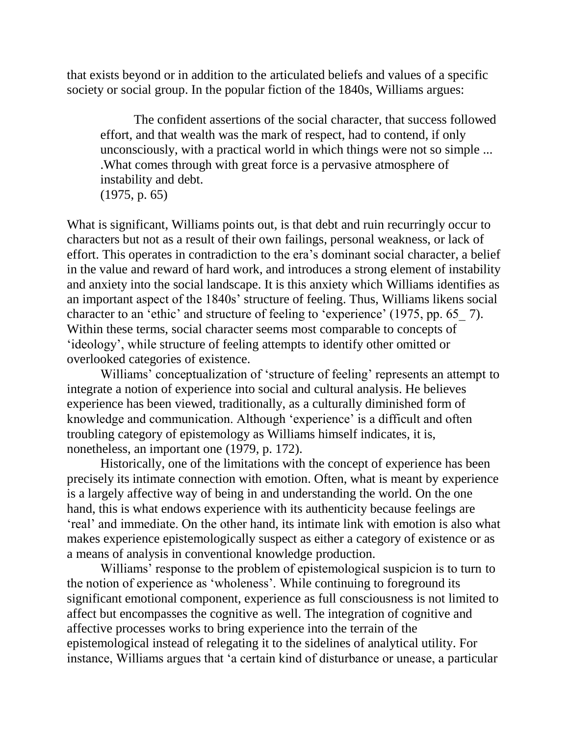that exists beyond or in addition to the articulated beliefs and values of a specific society or social group. In the popular fiction of the 1840s, Williams argues:

The confident assertions of the social character, that success followed effort, and that wealth was the mark of respect, had to contend, if only unconsciously, with a practical world in which things were not so simple ... .What comes through with great force is a pervasive atmosphere of instability and debt. (1975, p. 65)

What is significant, Williams points out, is that debt and ruin recurringly occur to characters but not as a result of their own failings, personal weakness, or lack of effort. This operates in contradiction to the era's dominant social character, a belief in the value and reward of hard work, and introduces a strong element of instability and anxiety into the social landscape. It is this anxiety which Williams identifies as an important aspect of the 1840s' structure of feeling. Thus, Williams likens social character to an 'ethic' and structure of feeling to 'experience' (1975, pp. 65\_/7). Within these terms, social character seems most comparable to concepts of 'ideology', while structure of feeling attempts to identify other omitted or overlooked categories of existence.

Williams' conceptualization of 'structure of feeling' represents an attempt to integrate a notion of experience into social and cultural analysis. He believes experience has been viewed, traditionally, as a culturally diminished form of knowledge and communication. Although 'experience' is a difficult and often troubling category of epistemology as Williams himself indicates, it is, nonetheless, an important one (1979, p. 172).

Historically, one of the limitations with the concept of experience has been precisely its intimate connection with emotion. Often, what is meant by experience is a largely affective way of being in and understanding the world. On the one hand, this is what endows experience with its authenticity because feelings are 'real' and immediate. On the other hand, its intimate link with emotion is also what makes experience epistemologically suspect as either a category of existence or as a means of analysis in conventional knowledge production.

Williams' response to the problem of epistemological suspicion is to turn to the notion of experience as 'wholeness'. While continuing to foreground its significant emotional component, experience as full consciousness is not limited to affect but encompasses the cognitive as well. The integration of cognitive and affective processes works to bring experience into the terrain of the epistemological instead of relegating it to the sidelines of analytical utility. For instance, Williams argues that 'a certain kind of disturbance or unease, a particular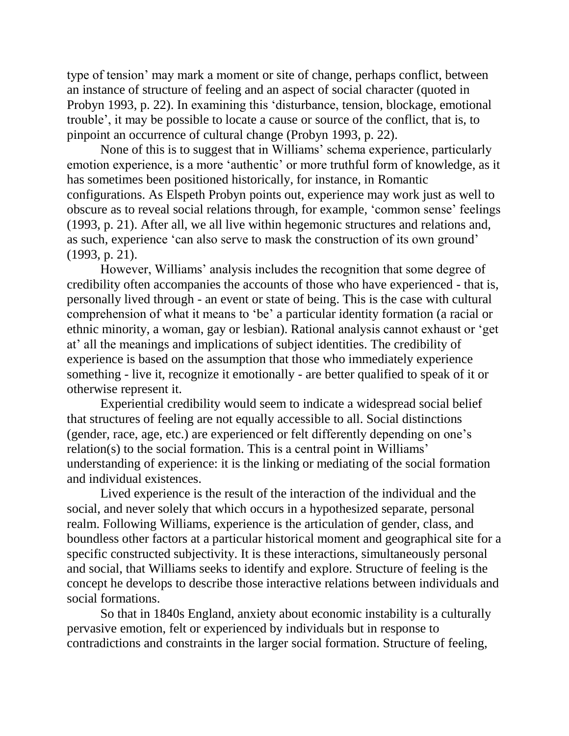type of tension' may mark a moment or site of change, perhaps conflict, between an instance of structure of feeling and an aspect of social character (quoted in Probyn 1993, p. 22). In examining this 'disturbance, tension, blockage, emotional trouble', it may be possible to locate a cause or source of the conflict, that is, to pinpoint an occurrence of cultural change (Probyn 1993, p. 22).

None of this is to suggest that in Williams' schema experience, particularly emotion experience, is a more 'authentic' or more truthful form of knowledge, as it has sometimes been positioned historically, for instance, in Romantic configurations. As Elspeth Probyn points out, experience may work just as well to obscure as to reveal social relations through, for example, 'common sense' feelings (1993, p. 21). After all, we all live within hegemonic structures and relations and, as such, experience 'can also serve to mask the construction of its own ground' (1993, p. 21).

However, Williams' analysis includes the recognition that some degree of credibility often accompanies the accounts of those who have experienced - that is, personally lived through - an event or state of being. This is the case with cultural comprehension of what it means to 'be' a particular identity formation (a racial or ethnic minority, a woman, gay or lesbian). Rational analysis cannot exhaust or 'get at' all the meanings and implications of subject identities. The credibility of experience is based on the assumption that those who immediately experience something - live it, recognize it emotionally - are better qualified to speak of it or otherwise represent it.

Experiential credibility would seem to indicate a widespread social belief that structures of feeling are not equally accessible to all. Social distinctions (gender, race, age, etc.) are experienced or felt differently depending on one's relation(s) to the social formation. This is a central point in Williams' understanding of experience: it is the linking or mediating of the social formation and individual existences.

Lived experience is the result of the interaction of the individual and the social, and never solely that which occurs in a hypothesized separate, personal realm. Following Williams, experience is the articulation of gender, class, and boundless other factors at a particular historical moment and geographical site for a specific constructed subjectivity. It is these interactions, simultaneously personal and social, that Williams seeks to identify and explore. Structure of feeling is the concept he develops to describe those interactive relations between individuals and social formations.

So that in 1840s England, anxiety about economic instability is a culturally pervasive emotion, felt or experienced by individuals but in response to contradictions and constraints in the larger social formation. Structure of feeling,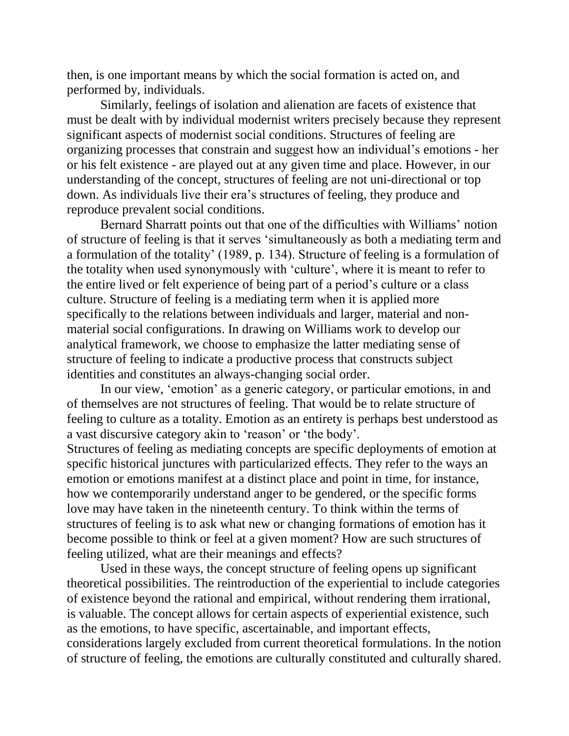then, is one important means by which the social formation is acted on, and performed by, individuals.

Similarly, feelings of isolation and alienation are facets of existence that must be dealt with by individual modernist writers precisely because they represent significant aspects of modernist social conditions. Structures of feeling are organizing processes that constrain and suggest how an individual's emotions - her or his felt existence - are played out at any given time and place. However, in our understanding of the concept, structures of feeling are not uni-directional or top down. As individuals live their era's structures of feeling, they produce and reproduce prevalent social conditions.

Bernard Sharratt points out that one of the difficulties with Williams' notion of structure of feeling is that it serves 'simultaneously as both a mediating term and a formulation of the totality' (1989, p. 134). Structure of feeling is a formulation of the totality when used synonymously with 'culture', where it is meant to refer to the entire lived or felt experience of being part of a period's culture or a class culture. Structure of feeling is a mediating term when it is applied more specifically to the relations between individuals and larger, material and nonmaterial social configurations. In drawing on Williams work to develop our analytical framework, we choose to emphasize the latter mediating sense of structure of feeling to indicate a productive process that constructs subject identities and constitutes an always-changing social order.

In our view, 'emotion' as a generic category, or particular emotions, in and of themselves are not structures of feeling. That would be to relate structure of feeling to culture as a totality. Emotion as an entirety is perhaps best understood as a vast discursive category akin to 'reason' or 'the body'. Structures of feeling as mediating concepts are specific deployments of emotion at specific historical junctures with particularized effects. They refer to the ways an emotion or emotions manifest at a distinct place and point in time, for instance, how we contemporarily understand anger to be gendered, or the specific forms love may have taken in the nineteenth century. To think within the terms of structures of feeling is to ask what new or changing formations of emotion has it become possible to think or feel at a given moment? How are such structures of feeling utilized, what are their meanings and effects?

Used in these ways, the concept structure of feeling opens up significant theoretical possibilities. The reintroduction of the experiential to include categories of existence beyond the rational and empirical, without rendering them irrational, is valuable. The concept allows for certain aspects of experiential existence, such as the emotions, to have specific, ascertainable, and important effects, considerations largely excluded from current theoretical formulations. In the notion of structure of feeling, the emotions are culturally constituted and culturally shared.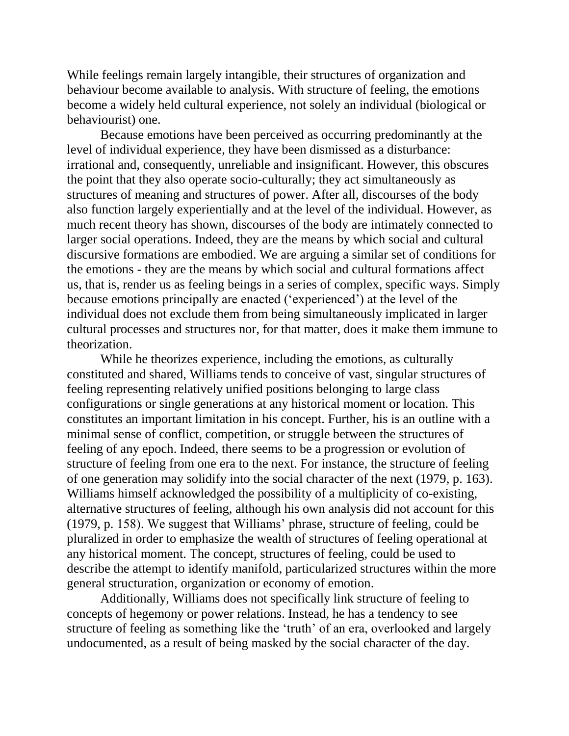While feelings remain largely intangible, their structures of organization and behaviour become available to analysis. With structure of feeling, the emotions become a widely held cultural experience, not solely an individual (biological or behaviourist) one.

Because emotions have been perceived as occurring predominantly at the level of individual experience, they have been dismissed as a disturbance: irrational and, consequently, unreliable and insignificant. However, this obscures the point that they also operate socio-culturally; they act simultaneously as structures of meaning and structures of power. After all, discourses of the body also function largely experientially and at the level of the individual. However, as much recent theory has shown, discourses of the body are intimately connected to larger social operations. Indeed, they are the means by which social and cultural discursive formations are embodied. We are arguing a similar set of conditions for the emotions - they are the means by which social and cultural formations affect us, that is, render us as feeling beings in a series of complex, specific ways. Simply because emotions principally are enacted ('experienced') at the level of the individual does not exclude them from being simultaneously implicated in larger cultural processes and structures nor, for that matter, does it make them immune to theorization.

While he theorizes experience, including the emotions, as culturally constituted and shared, Williams tends to conceive of vast, singular structures of feeling representing relatively unified positions belonging to large class configurations or single generations at any historical moment or location. This constitutes an important limitation in his concept. Further, his is an outline with a minimal sense of conflict, competition, or struggle between the structures of feeling of any epoch. Indeed, there seems to be a progression or evolution of structure of feeling from one era to the next. For instance, the structure of feeling of one generation may solidify into the social character of the next (1979, p. 163). Williams himself acknowledged the possibility of a multiplicity of co-existing, alternative structures of feeling, although his own analysis did not account for this (1979, p. 158). We suggest that Williams' phrase, structure of feeling, could be pluralized in order to emphasize the wealth of structures of feeling operational at any historical moment. The concept, structures of feeling, could be used to describe the attempt to identify manifold, particularized structures within the more general structuration, organization or economy of emotion.

Additionally, Williams does not specifically link structure of feeling to concepts of hegemony or power relations. Instead, he has a tendency to see structure of feeling as something like the 'truth' of an era, overlooked and largely undocumented, as a result of being masked by the social character of the day.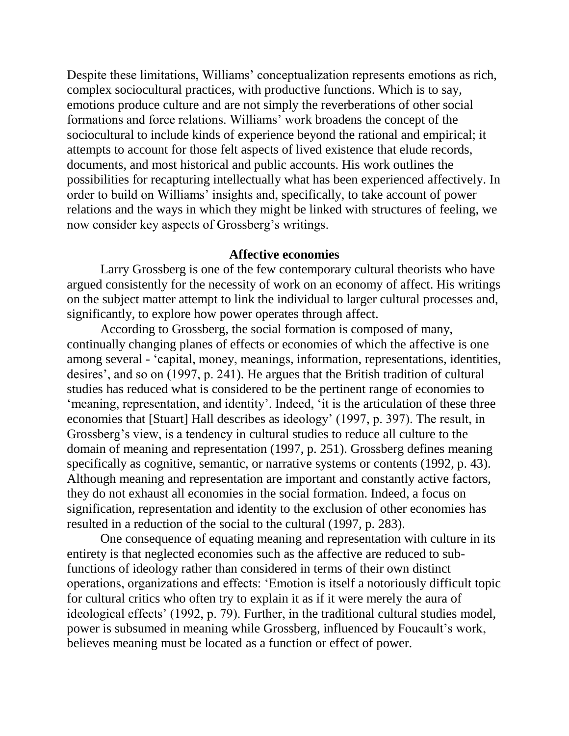Despite these limitations, Williams' conceptualization represents emotions as rich, complex sociocultural practices, with productive functions. Which is to say, emotions produce culture and are not simply the reverberations of other social formations and force relations. Williams' work broadens the concept of the sociocultural to include kinds of experience beyond the rational and empirical; it attempts to account for those felt aspects of lived existence that elude records, documents, and most historical and public accounts. His work outlines the possibilities for recapturing intellectually what has been experienced affectively. In order to build on Williams' insights and, specifically, to take account of power relations and the ways in which they might be linked with structures of feeling, we now consider key aspects of Grossberg's writings.

#### **Affective economies**

Larry Grossberg is one of the few contemporary cultural theorists who have argued consistently for the necessity of work on an economy of affect. His writings on the subject matter attempt to link the individual to larger cultural processes and, significantly, to explore how power operates through affect.

According to Grossberg, the social formation is composed of many, continually changing planes of effects or economies of which the affective is one among several - 'capital, money, meanings, information, representations, identities, desires', and so on (1997, p. 241). He argues that the British tradition of cultural studies has reduced what is considered to be the pertinent range of economies to 'meaning, representation, and identity'. Indeed, 'it is the articulation of these three economies that [Stuart] Hall describes as ideology' (1997, p. 397). The result, in Grossberg's view, is a tendency in cultural studies to reduce all culture to the domain of meaning and representation (1997, p. 251). Grossberg defines meaning specifically as cognitive, semantic, or narrative systems or contents (1992, p. 43). Although meaning and representation are important and constantly active factors, they do not exhaust all economies in the social formation. Indeed, a focus on signification, representation and identity to the exclusion of other economies has resulted in a reduction of the social to the cultural (1997, p. 283).

One consequence of equating meaning and representation with culture in its entirety is that neglected economies such as the affective are reduced to subfunctions of ideology rather than considered in terms of their own distinct operations, organizations and effects: 'Emotion is itself a notoriously difficult topic for cultural critics who often try to explain it as if it were merely the aura of ideological effects' (1992, p. 79). Further, in the traditional cultural studies model, power is subsumed in meaning while Grossberg, influenced by Foucault's work, believes meaning must be located as a function or effect of power.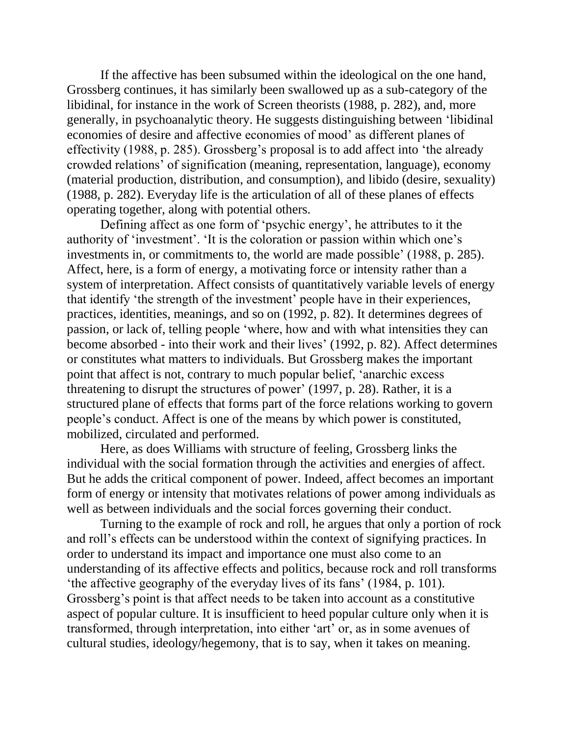If the affective has been subsumed within the ideological on the one hand, Grossberg continues, it has similarly been swallowed up as a sub-category of the libidinal, for instance in the work of Screen theorists (1988, p. 282), and, more generally, in psychoanalytic theory. He suggests distinguishing between 'libidinal economies of desire and affective economies of mood' as different planes of effectivity (1988, p. 285). Grossberg's proposal is to add affect into 'the already crowded relations' of signification (meaning, representation, language), economy (material production, distribution, and consumption), and libido (desire, sexuality) (1988, p. 282). Everyday life is the articulation of all of these planes of effects operating together, along with potential others.

Defining affect as one form of 'psychic energy', he attributes to it the authority of 'investment'. 'It is the coloration or passion within which one's investments in, or commitments to, the world are made possible' (1988, p. 285). Affect, here, is a form of energy, a motivating force or intensity rather than a system of interpretation. Affect consists of quantitatively variable levels of energy that identify 'the strength of the investment' people have in their experiences, practices, identities, meanings, and so on (1992, p. 82). It determines degrees of passion, or lack of, telling people 'where, how and with what intensities they can become absorbed - into their work and their lives' (1992, p. 82). Affect determines or constitutes what matters to individuals. But Grossberg makes the important point that affect is not, contrary to much popular belief, 'anarchic excess threatening to disrupt the structures of power' (1997, p. 28). Rather, it is a structured plane of effects that forms part of the force relations working to govern people's conduct. Affect is one of the means by which power is constituted, mobilized, circulated and performed.

Here, as does Williams with structure of feeling, Grossberg links the individual with the social formation through the activities and energies of affect. But he adds the critical component of power. Indeed, affect becomes an important form of energy or intensity that motivates relations of power among individuals as well as between individuals and the social forces governing their conduct.

Turning to the example of rock and roll, he argues that only a portion of rock and roll's effects can be understood within the context of signifying practices. In order to understand its impact and importance one must also come to an understanding of its affective effects and politics, because rock and roll transforms 'the affective geography of the everyday lives of its fans' (1984, p. 101). Grossberg's point is that affect needs to be taken into account as a constitutive aspect of popular culture. It is insufficient to heed popular culture only when it is transformed, through interpretation, into either 'art' or, as in some avenues of cultural studies, ideology/hegemony, that is to say, when it takes on meaning.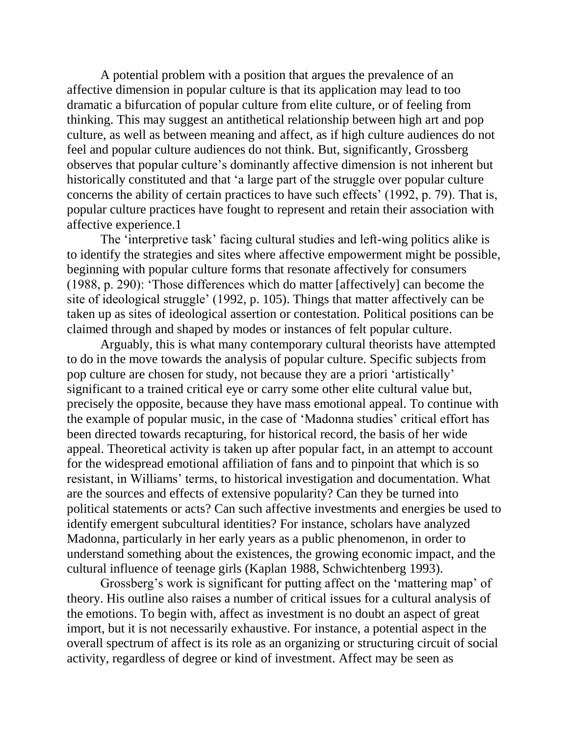A potential problem with a position that argues the prevalence of an affective dimension in popular culture is that its application may lead to too dramatic a bifurcation of popular culture from elite culture, or of feeling from thinking. This may suggest an antithetical relationship between high art and pop culture, as well as between meaning and affect, as if high culture audiences do not feel and popular culture audiences do not think. But, significantly, Grossberg observes that popular culture's dominantly affective dimension is not inherent but historically constituted and that 'a large part of the struggle over popular culture concerns the ability of certain practices to have such effects' (1992, p. 79). That is, popular culture practices have fought to represent and retain their association with affective experience.1

The 'interpretive task' facing cultural studies and left-wing politics alike is to identify the strategies and sites where affective empowerment might be possible, beginning with popular culture forms that resonate affectively for consumers (1988, p. 290): 'Those differences which do matter [affectively] can become the site of ideological struggle' (1992, p. 105). Things that matter affectively can be taken up as sites of ideological assertion or contestation. Political positions can be claimed through and shaped by modes or instances of felt popular culture.

Arguably, this is what many contemporary cultural theorists have attempted to do in the move towards the analysis of popular culture. Specific subjects from pop culture are chosen for study, not because they are a priori 'artistically' significant to a trained critical eye or carry some other elite cultural value but, precisely the opposite, because they have mass emotional appeal. To continue with the example of popular music, in the case of 'Madonna studies' critical effort has been directed towards recapturing, for historical record, the basis of her wide appeal. Theoretical activity is taken up after popular fact, in an attempt to account for the widespread emotional affiliation of fans and to pinpoint that which is so resistant, in Williams' terms, to historical investigation and documentation. What are the sources and effects of extensive popularity? Can they be turned into political statements or acts? Can such affective investments and energies be used to identify emergent subcultural identities? For instance, scholars have analyzed Madonna, particularly in her early years as a public phenomenon, in order to understand something about the existences, the growing economic impact, and the cultural influence of teenage girls (Kaplan 1988, Schwichtenberg 1993).

Grossberg's work is significant for putting affect on the 'mattering map' of theory. His outline also raises a number of critical issues for a cultural analysis of the emotions. To begin with, affect as investment is no doubt an aspect of great import, but it is not necessarily exhaustive. For instance, a potential aspect in the overall spectrum of affect is its role as an organizing or structuring circuit of social activity, regardless of degree or kind of investment. Affect may be seen as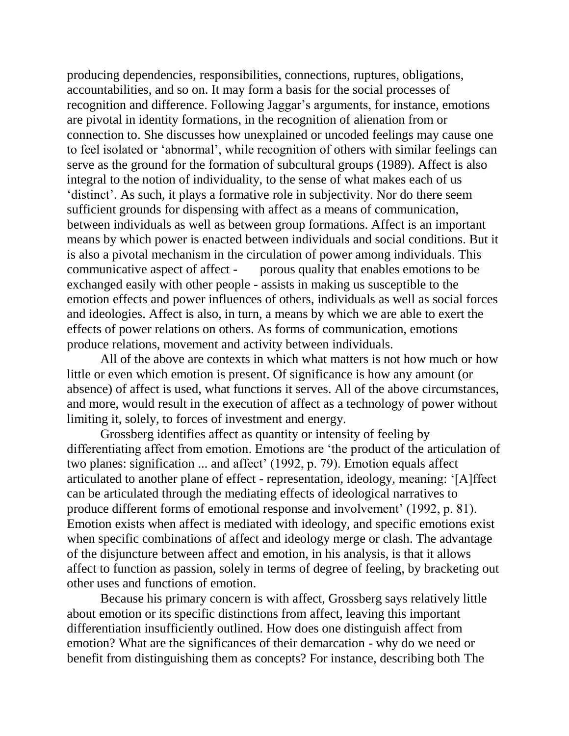producing dependencies, responsibilities, connections, ruptures, obligations, accountabilities, and so on. It may form a basis for the social processes of recognition and difference. Following Jaggar's arguments, for instance, emotions are pivotal in identity formations, in the recognition of alienation from or connection to. She discusses how unexplained or uncoded feelings may cause one to feel isolated or 'abnormal', while recognition of others with similar feelings can serve as the ground for the formation of subcultural groups (1989). Affect is also integral to the notion of individuality, to the sense of what makes each of us 'distinct'. As such, it plays a formative role in subjectivity. Nor do there seem sufficient grounds for dispensing with affect as a means of communication, between individuals as well as between group formations. Affect is an important means by which power is enacted between individuals and social conditions. But it is also a pivotal mechanism in the circulation of power among individuals. This communicative aspect of affect - porous quality that enables emotions to be exchanged easily with other people - assists in making us susceptible to the emotion effects and power influences of others, individuals as well as social forces and ideologies. Affect is also, in turn, a means by which we are able to exert the effects of power relations on others. As forms of communication, emotions produce relations, movement and activity between individuals.

All of the above are contexts in which what matters is not how much or how little or even which emotion is present. Of significance is how any amount (or absence) of affect is used, what functions it serves. All of the above circumstances, and more, would result in the execution of affect as a technology of power without limiting it, solely, to forces of investment and energy.

Grossberg identifies affect as quantity or intensity of feeling by differentiating affect from emotion. Emotions are 'the product of the articulation of two planes: signification ... and affect' (1992, p. 79). Emotion equals affect articulated to another plane of effect - representation, ideology, meaning: '[A]ffect can be articulated through the mediating effects of ideological narratives to produce different forms of emotional response and involvement' (1992, p. 81). Emotion exists when affect is mediated with ideology, and specific emotions exist when specific combinations of affect and ideology merge or clash. The advantage of the disjuncture between affect and emotion, in his analysis, is that it allows affect to function as passion, solely in terms of degree of feeling, by bracketing out other uses and functions of emotion.

Because his primary concern is with affect, Grossberg says relatively little about emotion or its specific distinctions from affect, leaving this important differentiation insufficiently outlined. How does one distinguish affect from emotion? What are the significances of their demarcation - why do we need or benefit from distinguishing them as concepts? For instance, describing both The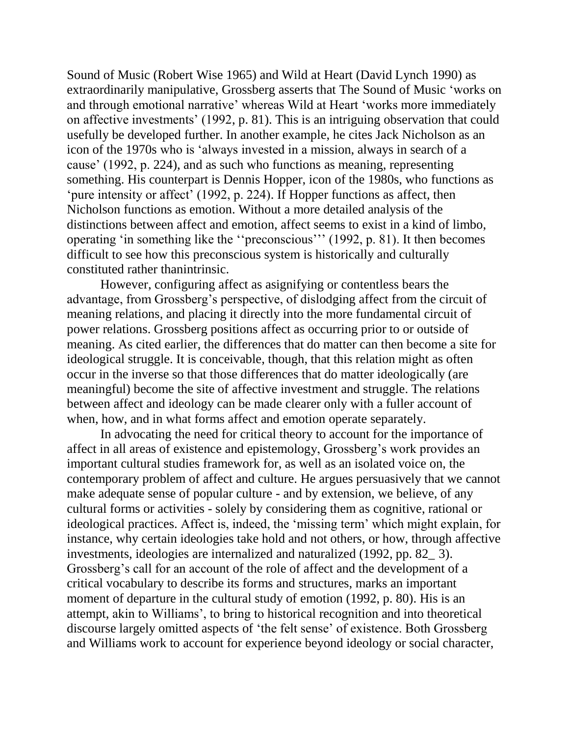Sound of Music (Robert Wise 1965) and Wild at Heart (David Lynch 1990) as extraordinarily manipulative, Grossberg asserts that The Sound of Music 'works on and through emotional narrative' whereas Wild at Heart 'works more immediately on affective investments' (1992, p. 81). This is an intriguing observation that could usefully be developed further. In another example, he cites Jack Nicholson as an icon of the 1970s who is 'always invested in a mission, always in search of a cause' (1992, p. 224), and as such who functions as meaning, representing something. His counterpart is Dennis Hopper, icon of the 1980s, who functions as 'pure intensity or affect' (1992, p. 224). If Hopper functions as affect, then Nicholson functions as emotion. Without a more detailed analysis of the distinctions between affect and emotion, affect seems to exist in a kind of limbo, operating 'in something like the ''preconscious''' (1992, p. 81). It then becomes difficult to see how this preconscious system is historically and culturally constituted rather thanintrinsic.

However, configuring affect as asignifying or contentless bears the advantage, from Grossberg's perspective, of dislodging affect from the circuit of meaning relations, and placing it directly into the more fundamental circuit of power relations. Grossberg positions affect as occurring prior to or outside of meaning. As cited earlier, the differences that do matter can then become a site for ideological struggle. It is conceivable, though, that this relation might as often occur in the inverse so that those differences that do matter ideologically (are meaningful) become the site of affective investment and struggle. The relations between affect and ideology can be made clearer only with a fuller account of when, how, and in what forms affect and emotion operate separately.

In advocating the need for critical theory to account for the importance of affect in all areas of existence and epistemology, Grossberg's work provides an important cultural studies framework for, as well as an isolated voice on, the contemporary problem of affect and culture. He argues persuasively that we cannot make adequate sense of popular culture - and by extension, we believe, of any cultural forms or activities - solely by considering them as cognitive, rational or ideological practices. Affect is, indeed, the 'missing term' which might explain, for instance, why certain ideologies take hold and not others, or how, through affective investments, ideologies are internalized and naturalized (1992, pp. 82\_/3). Grossberg's call for an account of the role of affect and the development of a critical vocabulary to describe its forms and structures, marks an important moment of departure in the cultural study of emotion (1992, p. 80). His is an attempt, akin to Williams', to bring to historical recognition and into theoretical discourse largely omitted aspects of 'the felt sense' of existence. Both Grossberg and Williams work to account for experience beyond ideology or social character,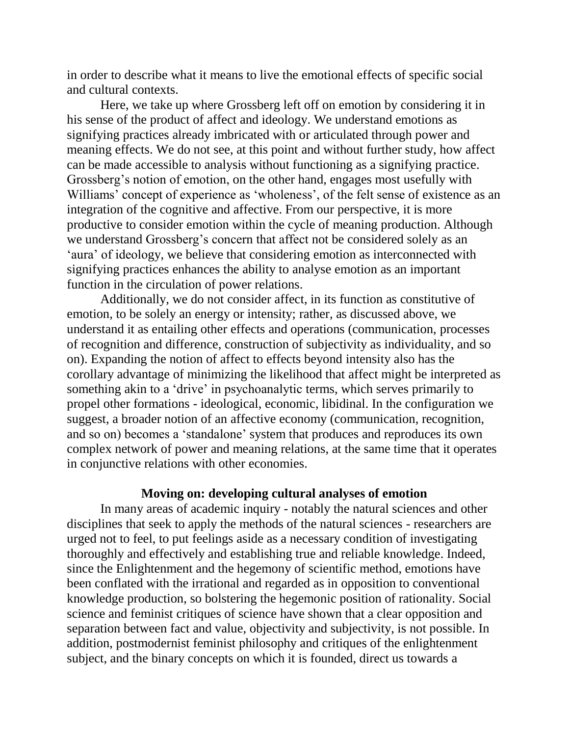in order to describe what it means to live the emotional effects of specific social and cultural contexts.

Here, we take up where Grossberg left off on emotion by considering it in his sense of the product of affect and ideology. We understand emotions as signifying practices already imbricated with or articulated through power and meaning effects. We do not see, at this point and without further study, how affect can be made accessible to analysis without functioning as a signifying practice. Grossberg's notion of emotion, on the other hand, engages most usefully with Williams' concept of experience as 'wholeness', of the felt sense of existence as an integration of the cognitive and affective. From our perspective, it is more productive to consider emotion within the cycle of meaning production. Although we understand Grossberg's concern that affect not be considered solely as an 'aura' of ideology, we believe that considering emotion as interconnected with signifying practices enhances the ability to analyse emotion as an important function in the circulation of power relations.

Additionally, we do not consider affect, in its function as constitutive of emotion, to be solely an energy or intensity; rather, as discussed above, we understand it as entailing other effects and operations (communication, processes of recognition and difference, construction of subjectivity as individuality, and so on). Expanding the notion of affect to effects beyond intensity also has the corollary advantage of minimizing the likelihood that affect might be interpreted as something akin to a 'drive' in psychoanalytic terms, which serves primarily to propel other formations - ideological, economic, libidinal. In the configuration we suggest, a broader notion of an affective economy (communication, recognition, and so on) becomes a 'standalone' system that produces and reproduces its own complex network of power and meaning relations, at the same time that it operates in conjunctive relations with other economies.

### **Moving on: developing cultural analyses of emotion**

In many areas of academic inquiry - notably the natural sciences and other disciplines that seek to apply the methods of the natural sciences - researchers are urged not to feel, to put feelings aside as a necessary condition of investigating thoroughly and effectively and establishing true and reliable knowledge. Indeed, since the Enlightenment and the hegemony of scientific method, emotions have been conflated with the irrational and regarded as in opposition to conventional knowledge production, so bolstering the hegemonic position of rationality. Social science and feminist critiques of science have shown that a clear opposition and separation between fact and value, objectivity and subjectivity, is not possible. In addition, postmodernist feminist philosophy and critiques of the enlightenment subject, and the binary concepts on which it is founded, direct us towards a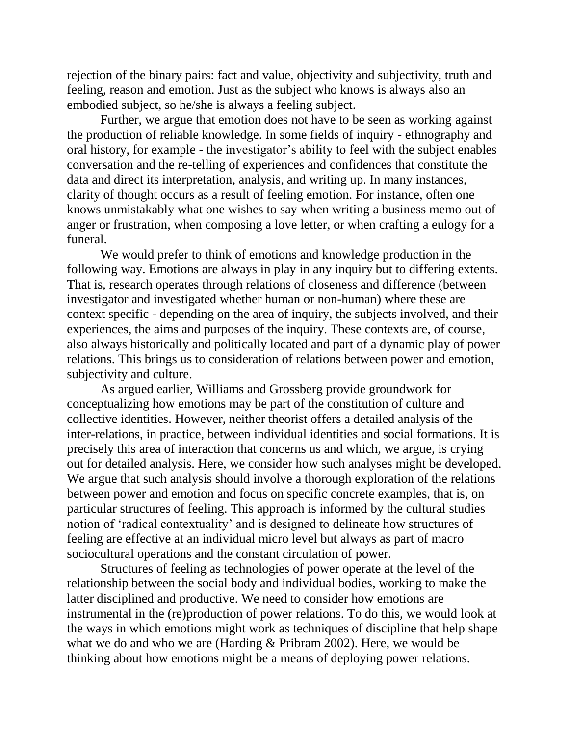rejection of the binary pairs: fact and value, objectivity and subjectivity, truth and feeling, reason and emotion. Just as the subject who knows is always also an embodied subject, so he/she is always a feeling subject.

Further, we argue that emotion does not have to be seen as working against the production of reliable knowledge. In some fields of inquiry - ethnography and oral history, for example - the investigator's ability to feel with the subject enables conversation and the re-telling of experiences and confidences that constitute the data and direct its interpretation, analysis, and writing up. In many instances, clarity of thought occurs as a result of feeling emotion. For instance, often one knows unmistakably what one wishes to say when writing a business memo out of anger or frustration, when composing a love letter, or when crafting a eulogy for a funeral.

We would prefer to think of emotions and knowledge production in the following way. Emotions are always in play in any inquiry but to differing extents. That is, research operates through relations of closeness and difference (between investigator and investigated whether human or non-human) where these are context specific - depending on the area of inquiry, the subjects involved, and their experiences, the aims and purposes of the inquiry. These contexts are, of course, also always historically and politically located and part of a dynamic play of power relations. This brings us to consideration of relations between power and emotion, subjectivity and culture.

As argued earlier, Williams and Grossberg provide groundwork for conceptualizing how emotions may be part of the constitution of culture and collective identities. However, neither theorist offers a detailed analysis of the inter-relations, in practice, between individual identities and social formations. It is precisely this area of interaction that concerns us and which, we argue, is crying out for detailed analysis. Here, we consider how such analyses might be developed. We argue that such analysis should involve a thorough exploration of the relations between power and emotion and focus on specific concrete examples, that is, on particular structures of feeling. This approach is informed by the cultural studies notion of 'radical contextuality' and is designed to delineate how structures of feeling are effective at an individual micro level but always as part of macro sociocultural operations and the constant circulation of power.

Structures of feeling as technologies of power operate at the level of the relationship between the social body and individual bodies, working to make the latter disciplined and productive. We need to consider how emotions are instrumental in the (re)production of power relations. To do this, we would look at the ways in which emotions might work as techniques of discipline that help shape what we do and who we are (Harding & Pribram 2002). Here, we would be thinking about how emotions might be a means of deploying power relations.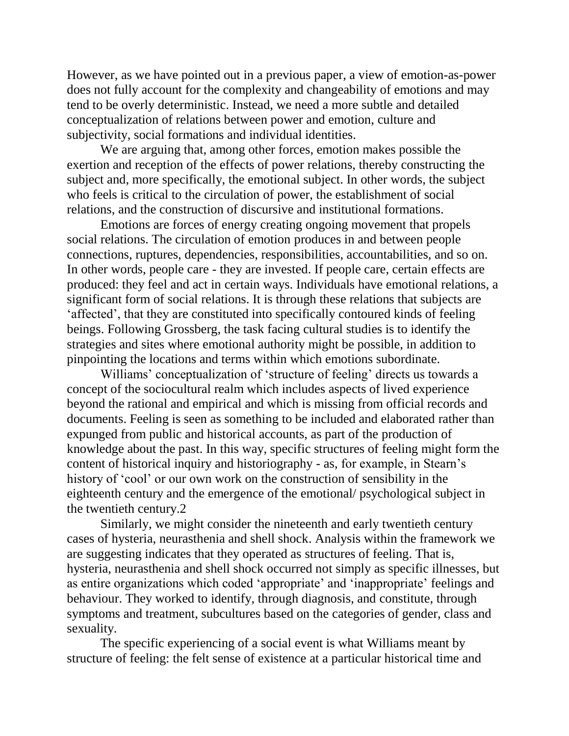However, as we have pointed out in a previous paper, a view of emotion-as-power does not fully account for the complexity and changeability of emotions and may tend to be overly deterministic. Instead, we need a more subtle and detailed conceptualization of relations between power and emotion, culture and subjectivity, social formations and individual identities.

We are arguing that, among other forces, emotion makes possible the exertion and reception of the effects of power relations, thereby constructing the subject and, more specifically, the emotional subject. In other words, the subject who feels is critical to the circulation of power, the establishment of social relations, and the construction of discursive and institutional formations.

Emotions are forces of energy creating ongoing movement that propels social relations. The circulation of emotion produces in and between people connections, ruptures, dependencies, responsibilities, accountabilities, and so on. In other words, people care - they are invested. If people care, certain effects are produced: they feel and act in certain ways. Individuals have emotional relations, a significant form of social relations. It is through these relations that subjects are 'affected', that they are constituted into specifically contoured kinds of feeling beings. Following Grossberg, the task facing cultural studies is to identify the strategies and sites where emotional authority might be possible, in addition to pinpointing the locations and terms within which emotions subordinate.

Williams' conceptualization of 'structure of feeling' directs us towards a concept of the sociocultural realm which includes aspects of lived experience beyond the rational and empirical and which is missing from official records and documents. Feeling is seen as something to be included and elaborated rather than expunged from public and historical accounts, as part of the production of knowledge about the past. In this way, specific structures of feeling might form the content of historical inquiry and historiography - as, for example, in Stearn's history of 'cool' or our own work on the construction of sensibility in the eighteenth century and the emergence of the emotional/ psychological subject in the twentieth century.2

Similarly, we might consider the nineteenth and early twentieth century cases of hysteria, neurasthenia and shell shock. Analysis within the framework we are suggesting indicates that they operated as structures of feeling. That is, hysteria, neurasthenia and shell shock occurred not simply as specific illnesses, but as entire organizations which coded 'appropriate' and 'inappropriate' feelings and behaviour. They worked to identify, through diagnosis, and constitute, through symptoms and treatment, subcultures based on the categories of gender, class and sexuality.

The specific experiencing of a social event is what Williams meant by structure of feeling: the felt sense of existence at a particular historical time and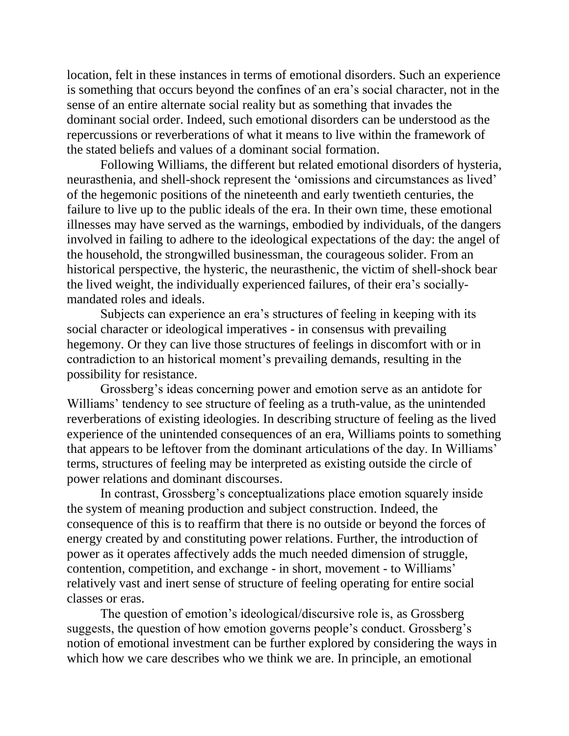location, felt in these instances in terms of emotional disorders. Such an experience is something that occurs beyond the confines of an era's social character, not in the sense of an entire alternate social reality but as something that invades the dominant social order. Indeed, such emotional disorders can be understood as the repercussions or reverberations of what it means to live within the framework of the stated beliefs and values of a dominant social formation.

Following Williams, the different but related emotional disorders of hysteria, neurasthenia, and shell-shock represent the 'omissions and circumstances as lived' of the hegemonic positions of the nineteenth and early twentieth centuries, the failure to live up to the public ideals of the era. In their own time, these emotional illnesses may have served as the warnings, embodied by individuals, of the dangers involved in failing to adhere to the ideological expectations of the day: the angel of the household, the strongwilled businessman, the courageous solider. From an historical perspective, the hysteric, the neurasthenic, the victim of shell-shock bear the lived weight, the individually experienced failures, of their era's sociallymandated roles and ideals.

Subjects can experience an era's structures of feeling in keeping with its social character or ideological imperatives - in consensus with prevailing hegemony. Or they can live those structures of feelings in discomfort with or in contradiction to an historical moment's prevailing demands, resulting in the possibility for resistance.

Grossberg's ideas concerning power and emotion serve as an antidote for Williams' tendency to see structure of feeling as a truth-value, as the unintended reverberations of existing ideologies. In describing structure of feeling as the lived experience of the unintended consequences of an era, Williams points to something that appears to be leftover from the dominant articulations of the day. In Williams' terms, structures of feeling may be interpreted as existing outside the circle of power relations and dominant discourses.

In contrast, Grossberg's conceptualizations place emotion squarely inside the system of meaning production and subject construction. Indeed, the consequence of this is to reaffirm that there is no outside or beyond the forces of energy created by and constituting power relations. Further, the introduction of power as it operates affectively adds the much needed dimension of struggle, contention, competition, and exchange - in short, movement - to Williams' relatively vast and inert sense of structure of feeling operating for entire social classes or eras.

The question of emotion's ideological/discursive role is, as Grossberg suggests, the question of how emotion governs people's conduct. Grossberg's notion of emotional investment can be further explored by considering the ways in which how we care describes who we think we are. In principle, an emotional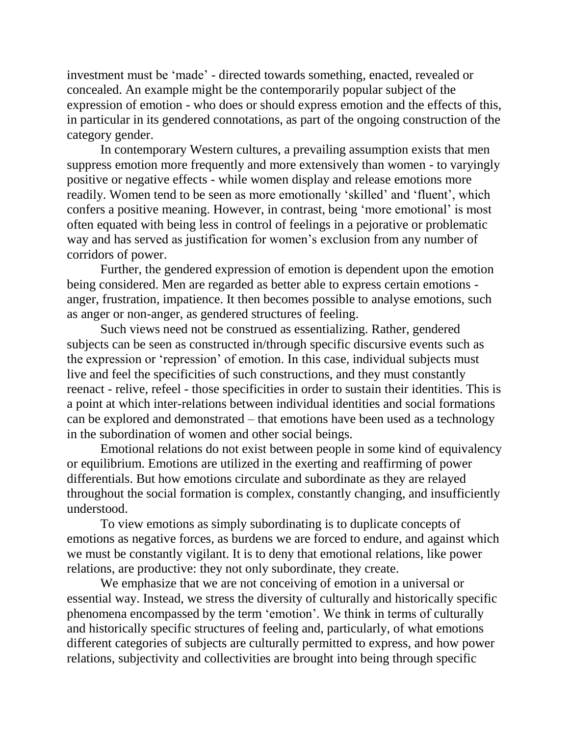investment must be 'made' - directed towards something, enacted, revealed or concealed. An example might be the contemporarily popular subject of the expression of emotion - who does or should express emotion and the effects of this, in particular in its gendered connotations, as part of the ongoing construction of the category gender.

In contemporary Western cultures, a prevailing assumption exists that men suppress emotion more frequently and more extensively than women - to varyingly positive or negative effects - while women display and release emotions more readily. Women tend to be seen as more emotionally 'skilled' and 'fluent', which confers a positive meaning. However, in contrast, being 'more emotional' is most often equated with being less in control of feelings in a pejorative or problematic way and has served as justification for women's exclusion from any number of corridors of power.

Further, the gendered expression of emotion is dependent upon the emotion being considered. Men are regarded as better able to express certain emotions anger, frustration, impatience. It then becomes possible to analyse emotions, such as anger or non-anger, as gendered structures of feeling.

Such views need not be construed as essentializing. Rather, gendered subjects can be seen as constructed in/through specific discursive events such as the expression or 'repression' of emotion. In this case, individual subjects must live and feel the specificities of such constructions, and they must constantly reenact - relive, refeel - those specificities in order to sustain their identities. This is a point at which inter-relations between individual identities and social formations can be explored and demonstrated – that emotions have been used as a technology in the subordination of women and other social beings.

Emotional relations do not exist between people in some kind of equivalency or equilibrium. Emotions are utilized in the exerting and reaffirming of power differentials. But how emotions circulate and subordinate as they are relayed throughout the social formation is complex, constantly changing, and insufficiently understood.

To view emotions as simply subordinating is to duplicate concepts of emotions as negative forces, as burdens we are forced to endure, and against which we must be constantly vigilant. It is to deny that emotional relations, like power relations, are productive: they not only subordinate, they create.

We emphasize that we are not conceiving of emotion in a universal or essential way. Instead, we stress the diversity of culturally and historically specific phenomena encompassed by the term 'emotion'. We think in terms of culturally and historically specific structures of feeling and, particularly, of what emotions different categories of subjects are culturally permitted to express, and how power relations, subjectivity and collectivities are brought into being through specific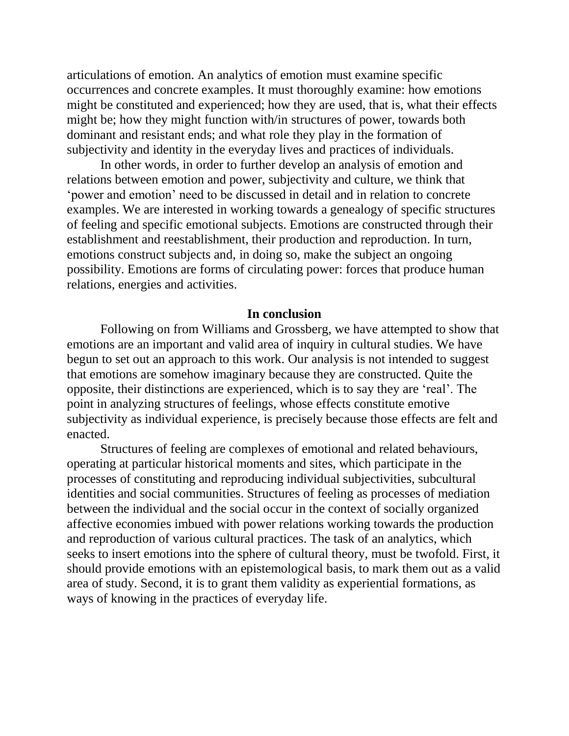articulations of emotion. An analytics of emotion must examine specific occurrences and concrete examples. It must thoroughly examine: how emotions might be constituted and experienced; how they are used, that is, what their effects might be; how they might function with/in structures of power, towards both dominant and resistant ends; and what role they play in the formation of subjectivity and identity in the everyday lives and practices of individuals.

In other words, in order to further develop an analysis of emotion and relations between emotion and power, subjectivity and culture, we think that 'power and emotion' need to be discussed in detail and in relation to concrete examples. We are interested in working towards a genealogy of specific structures of feeling and specific emotional subjects. Emotions are constructed through their establishment and reestablishment, their production and reproduction. In turn, emotions construct subjects and, in doing so, make the subject an ongoing possibility. Emotions are forms of circulating power: forces that produce human relations, energies and activities.

### **In conclusion**

Following on from Williams and Grossberg, we have attempted to show that emotions are an important and valid area of inquiry in cultural studies. We have begun to set out an approach to this work. Our analysis is not intended to suggest that emotions are somehow imaginary because they are constructed. Quite the opposite, their distinctions are experienced, which is to say they are 'real'. The point in analyzing structures of feelings, whose effects constitute emotive subjectivity as individual experience, is precisely because those effects are felt and enacted.

Structures of feeling are complexes of emotional and related behaviours, operating at particular historical moments and sites, which participate in the processes of constituting and reproducing individual subjectivities, subcultural identities and social communities. Structures of feeling as processes of mediation between the individual and the social occur in the context of socially organized affective economies imbued with power relations working towards the production and reproduction of various cultural practices. The task of an analytics, which seeks to insert emotions into the sphere of cultural theory, must be twofold. First, it should provide emotions with an epistemological basis, to mark them out as a valid area of study. Second, it is to grant them validity as experiential formations, as ways of knowing in the practices of everyday life.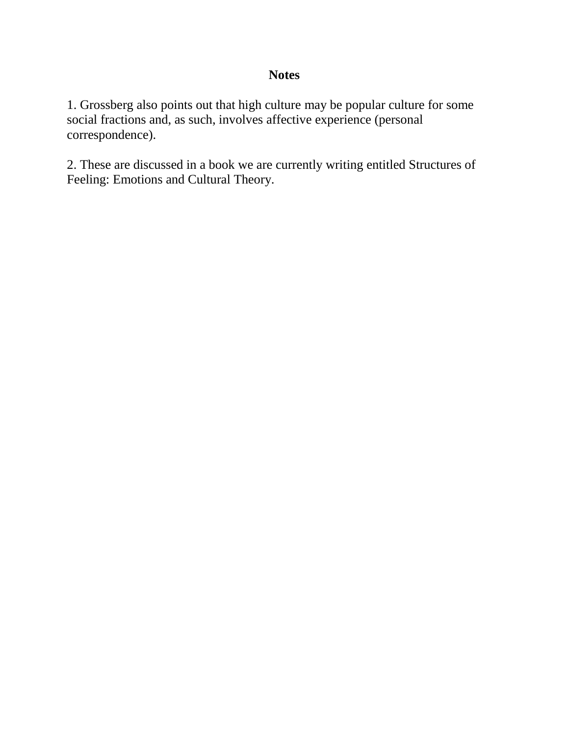# **Notes**

1. Grossberg also points out that high culture may be popular culture for some social fractions and, as such, involves affective experience (personal correspondence).

2. These are discussed in a book we are currently writing entitled Structures of Feeling: Emotions and Cultural Theory.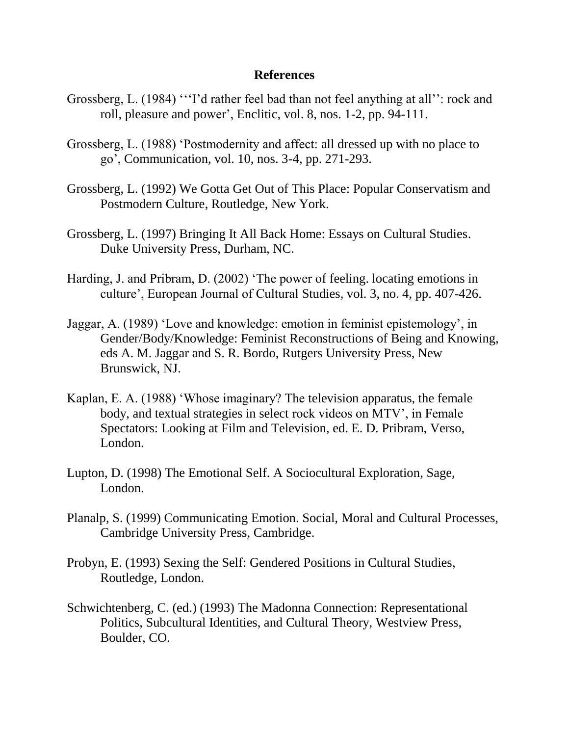## **References**

- Grossberg, L. (1984) '''I'd rather feel bad than not feel anything at all'': rock and roll, pleasure and power', Enclitic, vol. 8, nos. 1-2, pp. 94-111.
- Grossberg, L. (1988) 'Postmodernity and affect: all dressed up with no place to go', Communication, vol. 10, nos. 3-4, pp. 271-293.
- Grossberg, L. (1992) We Gotta Get Out of This Place: Popular Conservatism and Postmodern Culture, Routledge, New York.
- Grossberg, L. (1997) Bringing It All Back Home: Essays on Cultural Studies. Duke University Press, Durham, NC.
- Harding, J. and Pribram, D. (2002) 'The power of feeling. locating emotions in culture', European Journal of Cultural Studies, vol. 3, no. 4, pp. 407-426.
- Jaggar, A. (1989) 'Love and knowledge: emotion in feminist epistemology', in Gender/Body/Knowledge: Feminist Reconstructions of Being and Knowing, eds A. M. Jaggar and S. R. Bordo, Rutgers University Press, New Brunswick, NJ.
- Kaplan, E. A. (1988) 'Whose imaginary? The television apparatus, the female body, and textual strategies in select rock videos on MTV', in Female Spectators: Looking at Film and Television, ed. E. D. Pribram, Verso, London.
- Lupton, D. (1998) The Emotional Self. A Sociocultural Exploration, Sage, London.
- Planalp, S. (1999) Communicating Emotion. Social, Moral and Cultural Processes, Cambridge University Press, Cambridge.
- Probyn, E. (1993) Sexing the Self: Gendered Positions in Cultural Studies, Routledge, London.
- Schwichtenberg, C. (ed.) (1993) The Madonna Connection: Representational Politics, Subcultural Identities, and Cultural Theory, Westview Press, Boulder, CO.